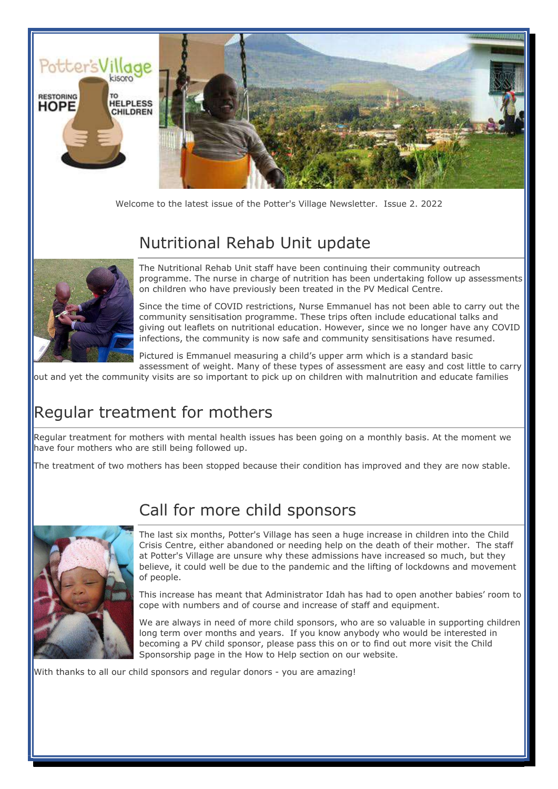

Welcome to the latest issue of the Potter's Village Newsletter. Issue 2. 2022

# Nutritional Rehab Unit update



The Nutritional Rehab Unit staff have been continuing their community outreach programme. The nurse in charge of nutrition has been undertaking follow up assessments on children who have previously been treated in the PV Medical Centre.

Since the time of COVID restrictions, Nurse Emmanuel has not been able to carry out the community sensitisation programme. These trips often include educational talks and giving out leaflets on nutritional education. However, since we no longer have any COVID infections, the community is now safe and community sensitisations have resumed.

Pictured is Emmanuel measuring a child's upper arm which is a standard basic assessment of weight. Many of these types of assessment are easy and cost little to carry

out and yet the community visits are so important to pick up on children with malnutrition and educate families

### Regular treatment for mothers

Regular treatment for mothers with mental health issues has been going on a monthly basis. At the moment we have four mothers who are still being followed up.

The treatment of two mothers has been stopped because their condition has improved and they are now stable.



#### Call for more child sponsors

The last six months, Potter's Village has seen a huge increase in children into the Child Crisis Centre, either abandoned or needing help on the death of their mother. The staff at Potter's Village are unsure why these admissions have increased so much, but they believe, it could well be due to the pandemic and the lifting of lockdowns and movement of people.

This increase has meant that Administrator Idah has had to open another babies' room to cope with numbers and of course and increase of staff and equipment.

We are always in need of more child sponsors, who are so valuable in supporting children long term over months and years. If you know anybody who would be interested in becoming a PV child sponsor, please pass this on or to find out more visit the Child Sponsorship page in the How to Help section on our website.

With thanks to all our child sponsors and regular donors - you are amazing!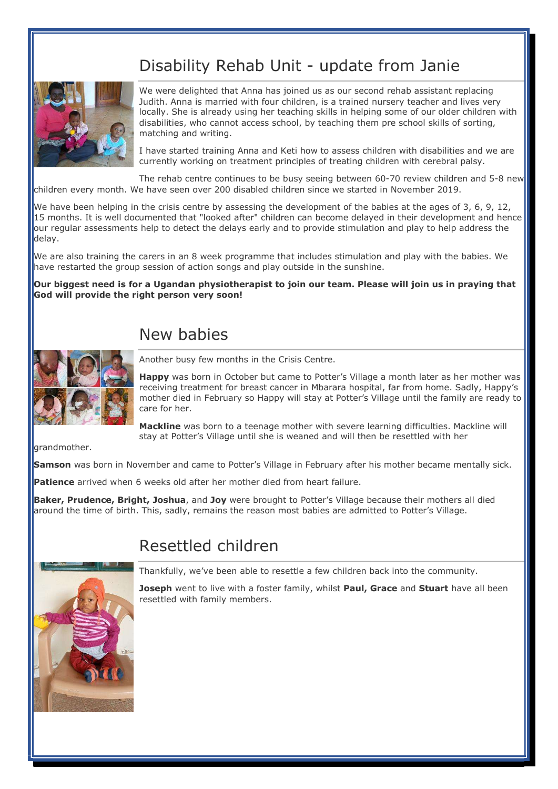# Disability Rehab Unit - update from Janie



We were delighted that Anna has joined us as our second rehab assistant replacing Judith. Anna is married with four children, is a trained nursery teacher and lives very locally. She is already using her teaching skills in helping some of our older children with disabilities, who cannot access school, by teaching them pre school skills of sorting, matching and writing.

I have started training Anna and Keti how to assess children with disabilities and we are currently working on treatment principles of treating children with cerebral palsy.

The rehab centre continues to be busy seeing between 60-70 review children and 5-8 new children every month. We have seen over 200 disabled children since we started in November 2019.

We have been helping in the crisis centre by assessing the development of the babies at the ages of 3, 6, 9, 12, 15 months. It is well documented that "looked after" children can become delayed in their development and hence our regular assessments help to detect the delays early and to provide stimulation and play to help address the delay.

We are also training the carers in an 8 week programme that includes stimulation and play with the babies. We have restarted the group session of action songs and play outside in the sunshine.

Our biggest need is for a Ugandan physiotherapist to join our team. Please will join us in praying that God will provide the right person very soon!

# New babies



Another busy few months in the Crisis Centre.

Happy was born in October but came to Potter's Village a month later as her mother was receiving treatment for breast cancer in Mbarara hospital, far from home. Sadly, Happy's mother died in February so Happy will stay at Potter's Village until the family are ready to care for her.

Mackline was born to a teenage mother with severe learning difficulties. Mackline will stay at Potter's Village until she is weaned and will then be resettled with her

arandmother.

Samson was born in November and came to Potter's Village in February after his mother became mentally sick.

Patience arrived when 6 weeks old after her mother died from heart failure.

Baker, Prudence, Bright, Joshua, and Joy were brought to Potter's Village because their mothers all died around the time of birth. This, sadly, remains the reason most babies are admitted to Potter's Village.

## Resettled children

Thankfully, we've been able to resettle a few children back into the community.

Joseph went to live with a foster family, whilst Paul, Grace and Stuart have all been resettled with family members.